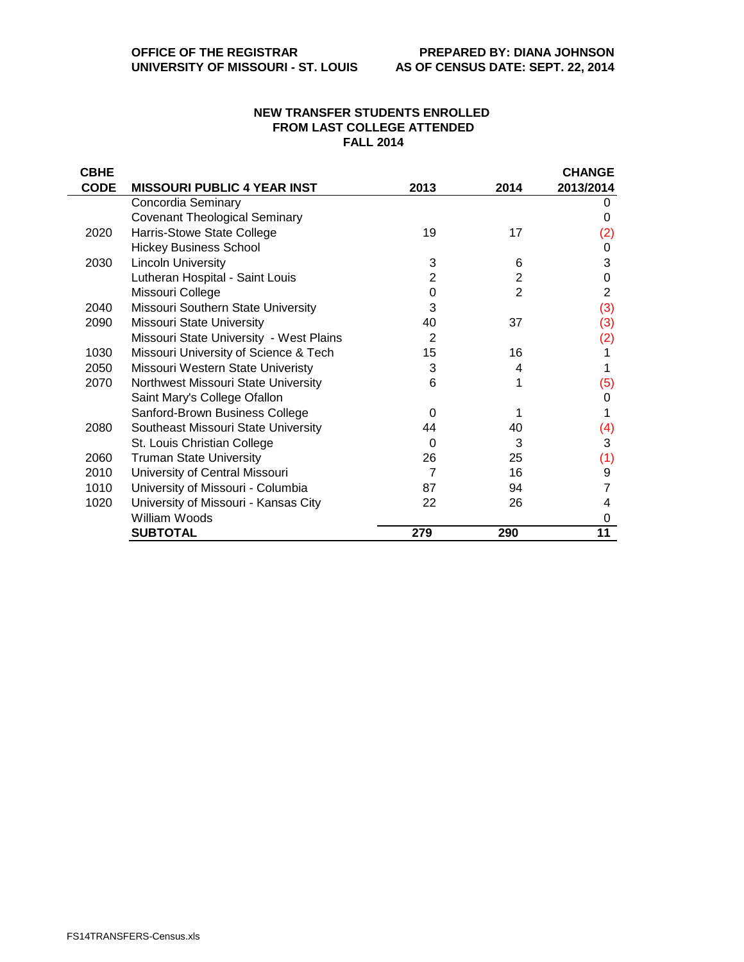## **NEW TRANSFER STUDENTS ENROLLED FROM LAST COLLEGE ATTENDED FALL 2014**

| <b>CBHE</b> |                                         |                |                | <b>CHANGE</b> |
|-------------|-----------------------------------------|----------------|----------------|---------------|
| <b>CODE</b> | <b>MISSOURI PUBLIC 4 YEAR INST</b>      | 2013           | 2014           | 2013/2014     |
|             | Concordia Seminary                      |                |                |               |
|             | <b>Covenant Theological Seminary</b>    |                |                | 0             |
| 2020        | Harris-Stowe State College              | 19             | 17             | (2)           |
|             | <b>Hickey Business School</b>           |                |                | 0             |
| 2030        | <b>Lincoln University</b>               | 3              | 6              | 3             |
|             | Lutheran Hospital - Saint Louis         | $\overline{2}$ | $\overline{2}$ | 0             |
|             | Missouri College                        | 0              | $\overline{2}$ | 2             |
| 2040        | Missouri Southern State University      | 3              |                | (3)           |
| 2090        | <b>Missouri State University</b>        | 40             | 37             | (3)           |
|             | Missouri State University - West Plains | 2              |                | (2)           |
| 1030        | Missouri University of Science & Tech   | 15             | 16             |               |
| 2050        | Missouri Western State Univeristy       | 3              | 4              |               |
| 2070        | Northwest Missouri State University     | 6              |                | (5)           |
|             | Saint Mary's College Ofallon            |                |                | 0             |
|             | Sanford-Brown Business College          | 0              |                |               |
| 2080        | Southeast Missouri State University     | 44             | 40             | (4)           |
|             | St. Louis Christian College             | 0              | 3              | 3             |
| 2060        | <b>Truman State University</b>          | 26             | 25             | (1)           |
| 2010        | University of Central Missouri          | 7              | 16             | 9             |
| 1010        | University of Missouri - Columbia       | 87             | 94             |               |
| 1020        | University of Missouri - Kansas City    | 22             | 26             | 4             |
|             | William Woods                           |                |                | 0             |
|             | <b>SUBTOTAL</b>                         | 279            | 290            | 11            |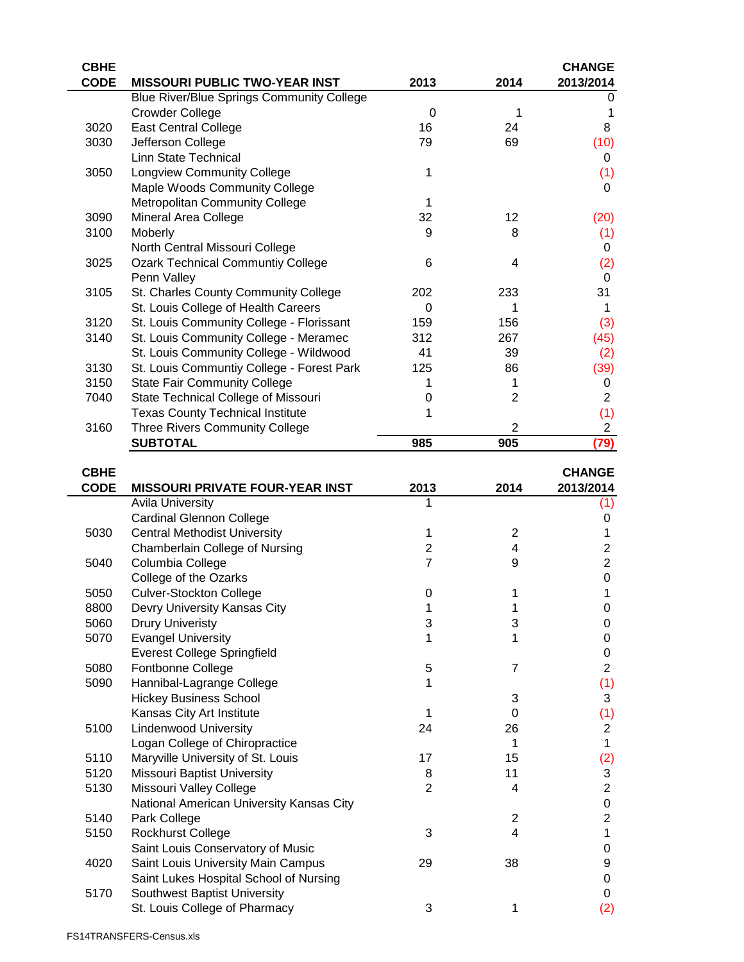| <b>CBHE</b> |                                                  |          |                | <b>CHANGE</b>  |
|-------------|--------------------------------------------------|----------|----------------|----------------|
| <b>CODE</b> | <b>MISSOURI PUBLIC TWO-YEAR INST</b>             | 2013     | 2014           | 2013/2014      |
|             | <b>Blue River/Blue Springs Community College</b> |          |                | 0              |
|             | <b>Crowder College</b>                           | $\Omega$ | 1              |                |
| 3020        | <b>East Central College</b>                      | 16       | 24             | 8              |
| 3030        | Jefferson College                                | 79       | 69             | (10)           |
|             | Linn State Technical                             |          |                | 0              |
| 3050        | <b>Longview Community College</b>                | 1        |                | (1)            |
|             | Maple Woods Community College                    |          |                | 0              |
|             | <b>Metropolitan Community College</b>            | 1        |                |                |
| 3090        | Mineral Area College                             | 32       | 12             | (20)           |
| 3100        | Moberly                                          | 9        | 8              | (1)            |
|             | North Central Missouri College                   |          |                | 0              |
| 3025        | <b>Ozark Technical Communtiy College</b>         | 6        | 4              | (2)            |
|             | Penn Valley                                      |          |                | 0              |
| 3105        | St. Charles County Community College             | 202      | 233            | 31             |
|             | St. Louis College of Health Careers              | 0        |                |                |
| 3120        | St. Louis Community College - Florissant         | 159      | 156            | (3)            |
| 3140        | St. Louis Community College - Meramec            | 312      | 267            | (45)           |
|             | St. Louis Community College - Wildwood           | 41       | 39             | (2)            |
| 3130        | St. Louis Communtiy College - Forest Park        | 125      | 86             | (39)           |
| 3150        | <b>State Fair Community College</b>              |          |                | 0              |
| 7040        | State Technical College of Missouri              | O        | $\overline{2}$ | $\overline{2}$ |
|             | <b>Texas County Technical Institute</b>          |          |                | (1)            |
| 3160        | Three Rivers Community College                   |          | 2              | $\overline{c}$ |
|             | <b>SUBTOTAL</b>                                  | 985      | 905            | (79)           |
| <u>српе</u> |                                                  |          |                | ?⊔∧NI⌒⊏        |

| <b>CBHE</b> |                                          |                |                | <b>CHANGE</b>             |
|-------------|------------------------------------------|----------------|----------------|---------------------------|
| <b>CODE</b> | <b>MISSOURI PRIVATE FOUR-YEAR INST</b>   | 2013           | 2014           | 2013/2014                 |
|             | <b>Avila University</b>                  |                |                | (1)                       |
|             | <b>Cardinal Glennon College</b>          |                |                | 0                         |
| 5030        | <b>Central Methodist University</b>      | 1              | $\overline{2}$ | 1                         |
|             | Chamberlain College of Nursing           | $\overline{2}$ | 4              | 2                         |
| 5040        | Columbia College                         | $\overline{7}$ | 9              | $\overline{2}$            |
|             | College of the Ozarks                    |                |                | 0                         |
| 5050        | <b>Culver-Stockton College</b>           | 0              |                | 1                         |
| 8800        | Devry University Kansas City             | 1              |                | 0                         |
| 5060        | <b>Drury Univeristy</b>                  | 3              | 3              | 0                         |
| 5070        | <b>Evangel University</b>                | 1              | 1              | 0                         |
|             | <b>Everest College Springfield</b>       |                |                | 0                         |
| 5080        | Fontbonne College                        | 5              | $\overline{7}$ | $\overline{2}$            |
| 5090        | Hannibal-Lagrange College                | 1              |                | (1)                       |
|             | <b>Hickey Business School</b>            |                | 3              | 3                         |
|             | Kansas City Art Institute                | 1              | 0              | (1)                       |
| 5100        | <b>Lindenwood University</b>             | 24             | 26             | $\overline{2}$            |
|             | Logan College of Chiropractice           |                | 1              | 1                         |
| 5110        | Maryville University of St. Louis        | 17             | 15             | (2)                       |
| 5120        | <b>Missouri Baptist University</b>       | 8              | 11             | $\ensuremath{\mathsf{3}}$ |
| 5130        | Missouri Valley College                  | $\overline{2}$ | 4              | $\overline{2}$            |
|             | National American University Kansas City |                |                | 0                         |
| 5140        | Park College                             |                | $\overline{2}$ | $\overline{2}$            |
| 5150        | Rockhurst College                        | 3              | 4              | 1                         |
|             | Saint Louis Conservatory of Music        |                |                | 0                         |
| 4020        | Saint Louis University Main Campus       | 29             | 38             | 9                         |
|             | Saint Lukes Hospital School of Nursing   |                |                | 0                         |
| 5170        | Southwest Baptist University             |                |                | 0                         |
|             | St. Louis College of Pharmacy            | 3              | 1              | (2)                       |
|             |                                          |                |                |                           |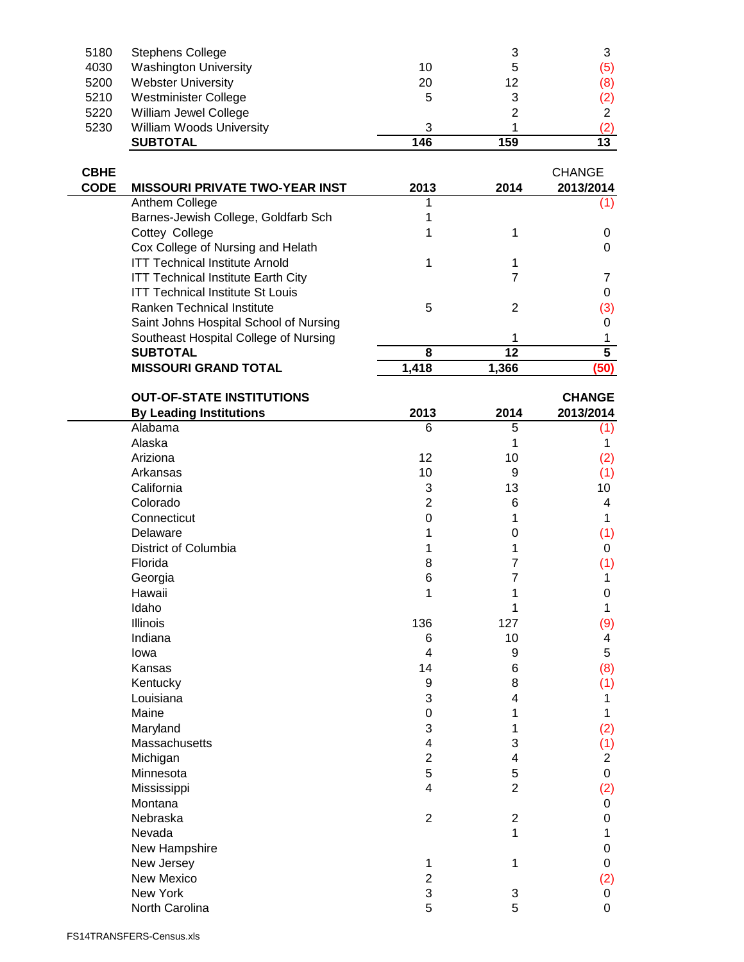|      | <b>SUBTOTAL</b>                 | 146 | 159 | 13  |
|------|---------------------------------|-----|-----|-----|
| 5230 | <b>William Woods University</b> | 3   |     | (2) |
| 5220 | William Jewel College           |     | ႒   | っ   |
| 5210 | Westminister College            | 5   |     | (2) |
| 5200 | <b>Webster University</b>       | 20  | 12  | (8) |
| 4030 | <b>Washington University</b>    | 10  | 5   | (5) |
| 5180 | <b>Stephens College</b>         |     | 3   |     |

| <b>CBHE</b><br><b>CODE</b> | <b>MISSOURI PRIVATE TWO-YEAR INST</b>     | 2013  | 2014  | <b>CHANGE</b><br>2013/2014 |
|----------------------------|-------------------------------------------|-------|-------|----------------------------|
|                            | Anthem College                            |       |       |                            |
|                            | Barnes-Jewish College, Goldfarb Sch       |       |       |                            |
|                            | Cottey College                            |       |       |                            |
|                            | Cox College of Nursing and Helath         |       |       |                            |
|                            | <b>ITT Technical Institute Arnold</b>     |       |       |                            |
|                            | <b>ITT Technical Institute Earth City</b> |       |       |                            |
|                            | <b>ITT Technical Institute St Louis</b>   |       |       |                            |
|                            | Ranken Technical Institute                | 5     | 2     | (3)                        |
|                            | Saint Johns Hospital School of Nursing    |       |       |                            |
|                            | Southeast Hospital College of Nursing     |       |       |                            |
|                            | <b>SUBTOTAL</b>                           | 8     | 12    | 5                          |
|                            | <b>MISSOURI GRAND TOTAL</b>               | 1.418 | 1.366 | (50)                       |

| <b>OUT-OF-STATE INSTITUTIONS</b> |                  |                | <b>CHANGE</b>  |  |
|----------------------------------|------------------|----------------|----------------|--|
| <b>By Leading Institutions</b>   | 2013             | 2014           | 2013/2014      |  |
| Alabama                          | 6                | 5              | (1)            |  |
| Alaska                           |                  | 1              | 1              |  |
| Ariziona                         | 12               | 10             | (2)            |  |
| Arkansas                         | 10               | 9              | (1)            |  |
| California                       | 3                | 13             | 10             |  |
| Colorado                         | $\overline{2}$   | 6              | 4              |  |
| Connecticut                      | $\mathbf 0$      | 1              | 1              |  |
| Delaware                         | 1                | 0              | (1)            |  |
| District of Columbia             | 1                | 1              | 0              |  |
| Florida                          | 8                | $\overline{7}$ | (1)            |  |
| Georgia                          | 6                | $\overline{7}$ | 1              |  |
| Hawaii                           | 1                | 1              | 0              |  |
| Idaho                            |                  | 1              | 1              |  |
| Illinois                         | 136              | 127            | (9)            |  |
| Indiana                          | 6                | 10             | 4              |  |
| lowa                             | 4                | 9              | 5              |  |
| Kansas                           | 14               | 6              | (8)            |  |
| Kentucky                         | $\boldsymbol{9}$ | 8              | (1)            |  |
| Louisiana                        | 3                | 4              | 1              |  |
| Maine                            | 0                | 1              | 1              |  |
| Maryland                         | 3                | 1              | (2)            |  |
| Massachusetts                    | $\overline{4}$   | 3              | (1)            |  |
| Michigan                         | $\overline{c}$   | $\overline{4}$ | $\overline{2}$ |  |
| Minnesota                        | 5                | 5              | 0              |  |
| Mississippi                      | 4                | $\overline{2}$ | (2)            |  |
| Montana                          |                  |                | 0              |  |
| Nebraska                         | $\overline{2}$   | $\overline{2}$ | 0              |  |
| Nevada                           |                  | 1              | 1              |  |
| New Hampshire                    |                  |                | 0              |  |
| New Jersey                       | 1                | 1              | 0              |  |
| <b>New Mexico</b>                | $\overline{2}$   |                | (2)            |  |
| New York                         | 3                | 3              | 0              |  |
| North Carolina                   | 5                | 5              | 0              |  |